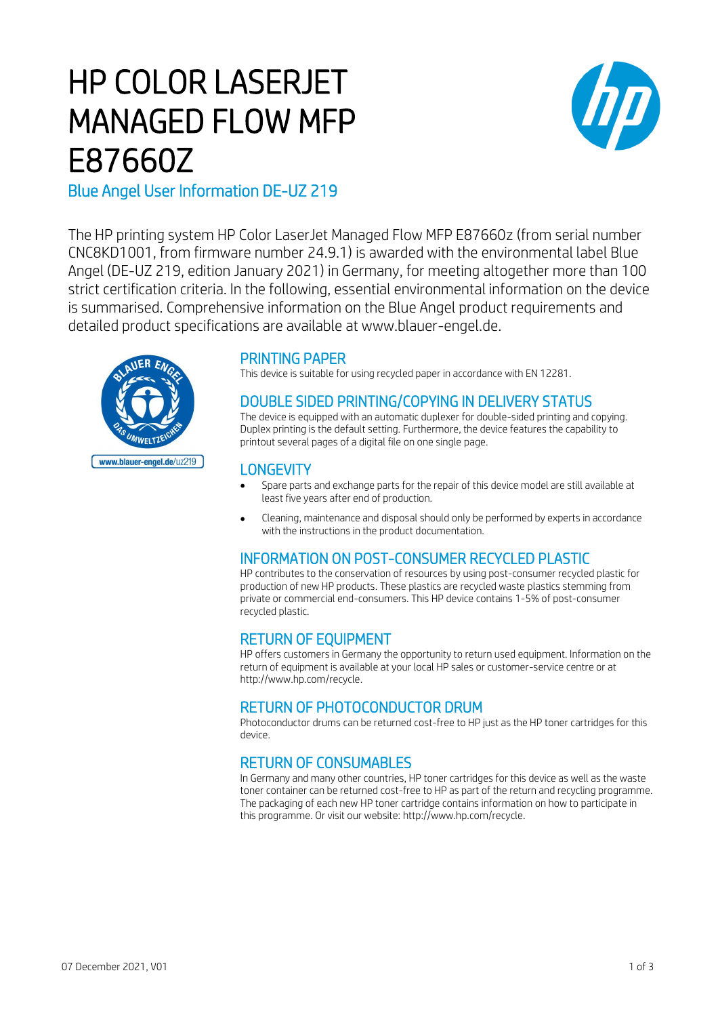# HP COLOR LASERJET MANAGED FLOW MFP E87660Z



# Blue Angel User Information DE-UZ 219

The HP printing system HP Color LaserJet Managed Flow MFP E87660z (from serial number CNC8KD1001, from firmware number 24.9.1) is awarded with the environmental label Blue Angel (DE-UZ 219, edition January 2021) in Germany, for meeting altogether more than 100 strict certification criteria. In the following, essential environmental information on the device is summarised. Comprehensive information on the Blue Angel product requirements and detailed product specifications are available at www.blauer-engel.de.



## PRINTING PAPER

This device is suitable for using recycled paper in accordance with EN 12281.

## DOUBLE SIDED PRINTING/COPYING IN DELIVERY STATUS

The device is equipped with an automatic duplexer for double-sided printing and copying. Duplex printing is the default setting. Furthermore, the device features the capability to printout several pages of a digital file on one single page.

#### **LONGEVITY**

- Spare parts and exchange parts for the repair of this device model are still available at least five years after end of production.
- Cleaning, maintenance and disposal should only be performed by experts in accordance with the instructions in the product documentation.

# INFORMATION ON POST-CONSUMER RECYCLED PLASTIC

HP contributes to the conservation of resources by using post-consumer recycled plastic for production of new HP products. These plastics are recycled waste plastics stemming from private or commercial end-consumers. This HP device contains 1-5% of post-consumer recycled plastic.

# RETURN OF EQUIPMENT

HP offers customers in Germany the opportunity to return used equipment. Information on the return of equipment is available at your local HP sales or customer-service centre or at http://www.hp.com/recycle.

# RETURN OF PHOTOCONDUCTOR DRUM

Photoconductor drums can be returned cost-free to HP just as the HP toner cartridges for this device.

# RETURN OF CONSUMABLES

In Germany and many other countries, HP toner cartridges for this device as well as the waste toner container can be returned cost-free to HP as part of the return and recycling programme. The packaging of each new HP toner cartridge contains information on how to participate in this programme. Or visit our website: http://www.hp.com/recycle.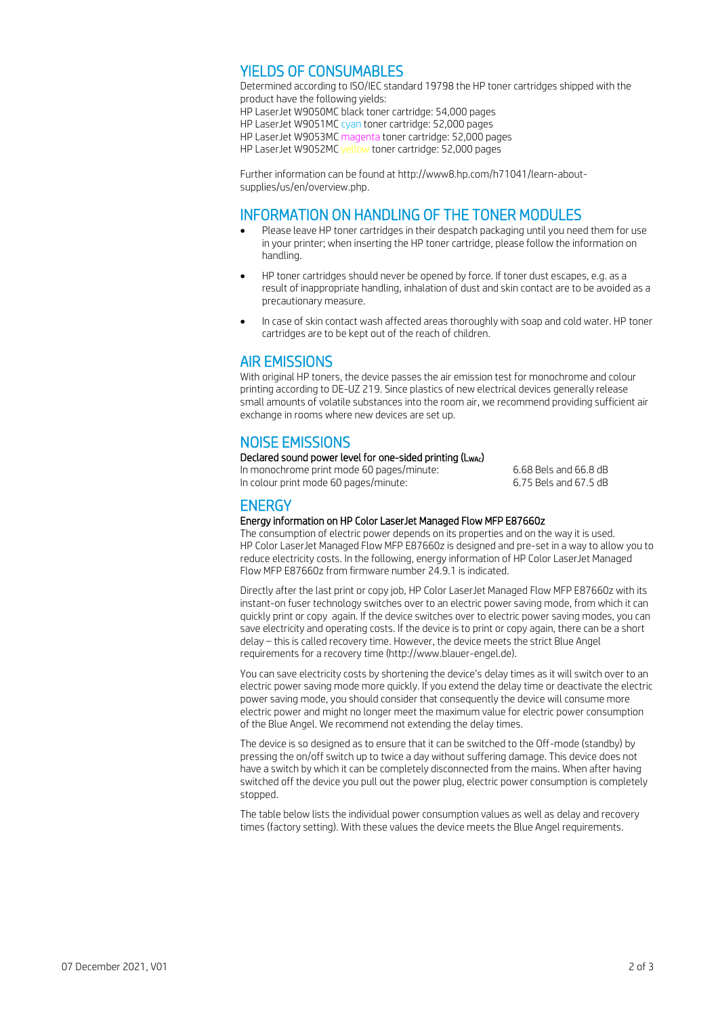## YIELDS OF CONSUMABLES

Determined according to ISO/IEC standard 19798 the HP toner cartridges shipped with the product have the following yields: HP LaserJet W9050MC black toner cartridge: 54,000 pages HP LaserJet W9051MC cyan toner cartridge: 52,000 pages HP LaserJet W9053MC magenta toner cartridge: 52,000 pages HP LaserJet W9052MC yellow toner cartridge: 52,000 pages

Further information can be found at http://www8.hp.com/h71041/learn-aboutsupplies/us/en/overview.php.

#### INFORMATION ON HANDLING OF THE TONER MODULES

- Please leave HP toner cartridges in their despatch packaging until you need them for use in your printer; when inserting the HP toner cartridge, please follow the information on handling.
- HP toner cartridges should never be opened by force. If toner dust escapes, e.g. as a result of inappropriate handling, inhalation of dust and skin contact are to be avoided as a precautionary measure.
- In case of skin contact wash affected areas thoroughly with soap and cold water. HP toner cartridges are to be kept out of the reach of children.

## AIR EMISSIONS

With original HP toners, the device passes the air emission test for monochrome and colour printing according to DE-UZ 219. Since plastics of new electrical devices generally release small amounts of volatile substances into the room air, we recommend providing sufficient air exchange in rooms where new devices are set up.

## NOISE EMISSIONS

#### Declared sound power level for one-sided printing (L<sub>WAc</sub>)

In monochrome print mode 60 pages/minute: 6.68 Bels and 66.8 dB<br>In colour print mode 60 pages/minute: 6.75 Bels and 67.5 dB In colour print mode 60 pages/minute:

#### **ENERGY**

#### Energy information on HP Color LaserJet Managed Flow MFP E87660z

The consumption of electric power depends on its properties and on the way it is used. HP Color LaserJet Managed Flow MFP E87660z is designed and pre-set in a way to allow you to reduce electricity costs. In the following, energy information of HP Color LaserJet Managed Flow MFP E87660z from firmware number 24.9.1 is indicated.

Directly after the last print or copy job, HP Color LaserJet Managed Flow MFP E87660z with its instant-on fuser technology switches over to an electric power saving mode, from which it can quickly print or copy again. If the device switches over to electric power saving modes, you can save electricity and operating costs. If the device is to print or copy again, there can be a short delay – this is called recovery time. However, the device meets the strict Blue Angel requirements for a recovery time (http://www.blauer-engel.de).

You can save electricity costs by shortening the device's delay times as it will switch over to an electric power saving mode more quickly. If you extend the delay time or deactivate the electric power saving mode, you should consider that consequently the device will consume more electric power and might no longer meet the maximum value for electric power consumption of the Blue Angel. We recommend not extending the delay times.

The device is so designed as to ensure that it can be switched to the Off-mode (standby) by pressing the on/off switch up to twice a day without suffering damage. This device does not have a switch by which it can be completely disconnected from the mains. When after having switched off the device you pull out the power plug, electric power consumption is completely stopped.

The table below lists the individual power consumption values as well as delay and recovery times (factory setting). With these values the device meets the Blue Angel requirements.